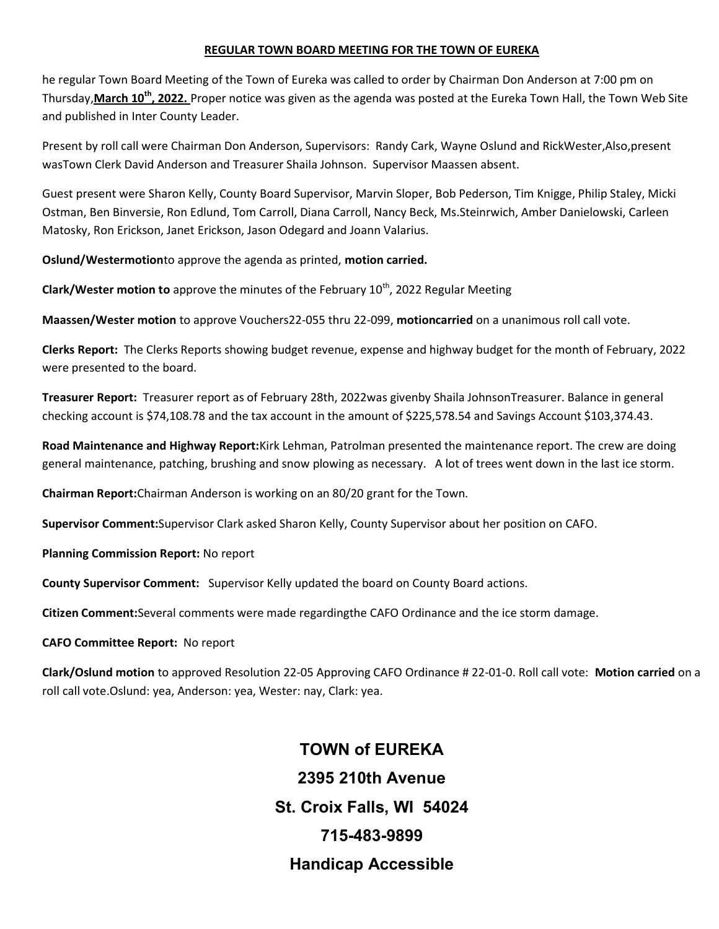#### REGULAR TOWN BOARD MEETING FOR THE TOWN OF EUREKA

he regular Town Board Meeting of the Town of Eureka was called to order by Chairman Don Anderson at 7:00 pm on Thursday, March 10<sup>th</sup>, 2022. Proper notice was given as the agenda was posted at the Eureka Town Hall, the Town Web Site and published in Inter County Leader.

Present by roll call were Chairman Don Anderson, Supervisors: Randy Cark, Wayne Oslund and RickWester,Also,present wasTown Clerk David Anderson and Treasurer Shaila Johnson. Supervisor Maassen absent.

Guest present were Sharon Kelly, County Board Supervisor, Marvin Sloper, Bob Pederson, Tim Knigge, Philip Staley, Micki Ostman, Ben Binversie, Ron Edlund, Tom Carroll, Diana Carroll, Nancy Beck, Ms.Steinrwich, Amber Danielowski, Carleen Matosky, Ron Erickson, Janet Erickson, Jason Odegard and Joann Valarius.

Oslund/Westermotionto approve the agenda as printed, motion carried.

**Clark/Wester motion to** approve the minutes of the February  $10<sup>th</sup>$ , 2022 Regular Meeting

Maassen/Wester motion to approve Vouchers22-055 thru 22-099, motioncarried on a unanimous roll call vote.

Clerks Report: The Clerks Reports showing budget revenue, expense and highway budget for the month of February, 2022 were presented to the board.

Treasurer Report: Treasurer report as of February 28th, 2022was givenby Shaila JohnsonTreasurer. Balance in general checking account is \$74,108.78 and the tax account in the amount of \$225,578.54 and Savings Account \$103,374.43.

Road Maintenance and Highway Report:Kirk Lehman, Patrolman presented the maintenance report. The crew are doing general maintenance, patching, brushing and snow plowing as necessary. A lot of trees went down in the last ice storm.

Chairman Report:Chairman Anderson is working on an 80/20 grant for the Town.

Supervisor Comment:Supervisor Clark asked Sharon Kelly, County Supervisor about her position on CAFO.

Planning Commission Report: No report

County Supervisor Comment: Supervisor Kelly updated the board on County Board actions.

Citizen Comment:Several comments were made regardingthe CAFO Ordinance and the ice storm damage.

### CAFO Committee Report: No report

Clark/Oslund motion to approved Resolution 22-05 Approving CAFO Ordinance # 22-01-0. Roll call vote: Motion carried on a roll call vote.Oslund: yea, Anderson: yea, Wester: nay, Clark: yea.

> TOWN of EUREKA 2395 210th Avenue St. Croix Falls, WI 54024 715-483-9899 Handicap Accessible